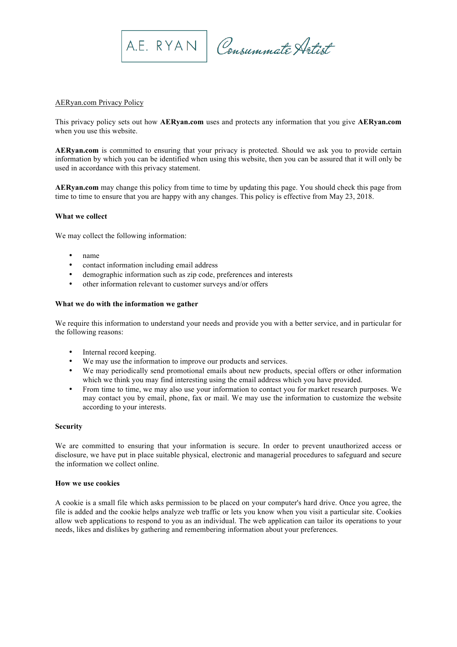

A.E. RYAN Consummate Artist

# AERyan.com Privacy Policy

This privacy policy sets out how **AERyan.com** uses and protects any information that you give **AERyan.com**  when you use this website.

**AERyan.com** is committed to ensuring that your privacy is protected. Should we ask you to provide certain information by which you can be identified when using this website, then you can be assured that it will only be used in accordance with this privacy statement.

**AERyan.com** may change this policy from time to time by updating this page. You should check this page from time to time to ensure that you are happy with any changes. This policy is effective from May 23, 2018.

## **What we collect**

We may collect the following information:

- name
- contact information including email address
- demographic information such as zip code, preferences and interests
- other information relevant to customer surveys and/or offers

#### **What we do with the information we gather**

We require this information to understand your needs and provide you with a better service, and in particular for the following reasons:

- Internal record keeping.
- We may use the information to improve our products and services.
- We may periodically send promotional emails about new products, special offers or other information which we think you may find interesting using the email address which you have provided.
- From time to time, we may also use your information to contact you for market research purposes. We may contact you by email, phone, fax or mail. We may use the information to customize the website according to your interests.

### **Security**

We are committed to ensuring that your information is secure. In order to prevent unauthorized access or disclosure, we have put in place suitable physical, electronic and managerial procedures to safeguard and secure the information we collect online.

# **How we use cookies**

A cookie is a small file which asks permission to be placed on your computer's hard drive. Once you agree, the file is added and the cookie helps analyze web traffic or lets you know when you visit a particular site. Cookies allow web applications to respond to you as an individual. The web application can tailor its operations to your needs, likes and dislikes by gathering and remembering information about your preferences.